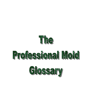



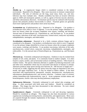#### *A*

**Absidia sp**. - A zygomycete fungus which is considered common to the indoor environment. Reported to be allergenic. May cause mucorosis in immune compromised individuals. The sites of infection are the lung, nasal sinus, brain, eye, and skin. Infection may have multiple sites. Absidia cormbifera has been an invasive infection agent in AIDS and neutropenic patients, as well as, agents of bovine mycotic abortions, and feline subcutaneous abscesses. Acremonium species may be confused with Fusarium species that primarily produce microconidia in culture. Fusarium genera are generally much more rapid growers and produce more aerial mycelium.

**Acremonium sp**. (Cephalosporium sp.) - Reported to be allergenic. Can produce a trichothecene toxin which is toxic if ingested. It was the primary fungus identified in at least two houses where the occupant complaints were nausea, vomiting, and diarrhea. Asexual state of Emericellopsis sp., Chaetomium sp., and Nectripsis sp. It can produce mycetomas, infections of the nails, onychomycosis, corneal ulcers, eumycotic mycetoma, endophthalmitis, meningitis, and endocarditis.

**Acrodontium salmoneum** - Reported to be a fairly common airborne fungus and is considered to be allergenic. Can produce a trichothecene toxin which is toxic if ingested. It was the primary fungus identified in at least two houses where the occupant complaints were nausea, vomiting, and diarrhea. It can produce mycetomas, infections of the nails, onychomycosis, corneal ulcers, eumycotic mycetoma, endophthalmitis, meningitis, and endocarditis. It is the asexual state of Emericellopsis sp., Chaetomium sp., and Nectripsis sp.

**Alternaria sp**. - Extremely widespread and ubiquitous. Outdoors it may be isolated from samples of soil, seeds, and plants. It is commonly found in outdoor samples. It is often found in carpets, textiles, and on horizontal surfaces in building interiors. Often found on window frames. The species Alternaria alternata is capable of producing tenuazonic acid and other toxic metabolites which may be associated with disease in humans or animals. Alternaria produces large spores having sizes between 20 - 200 microns in length and 7 - 18 microns in width, suggesing that the spores from this fungi are deposited in the nose, mouth, and upper respiratory tract. It may be related to bakers asthma. It has been associated with hypersensitivity pneumoniti, sinusitis, deratomycosis, onychomycosis, subcutaneous phaeohyphomycosis, and invasive infection. Common cause of extrinsic asthma (immediate-type hypersensitivity: type I). Acute symptoms include edema and bronchiospasms, chronic cases may develop pulmonary emphysema.

**Aphanoascus fulvescens** - Extremely widespread in soil, animal skin scrapings, and dung. Is often associated with birds nests and feathers. Should be considered an allergen. This fungus has also been documented in skin infections. No toxic related diseases are of record to date.

**Apophysomyces elegans** - Extremely widespread in soil and decaying vegetation. Should be considered an allergen. This fungus has also been documented in various zygomycosis including necrotizing fascitis, osteomyelitis, and angioinvasion. Most cases are acquired through the tramatic implantation of the fungus. No toxic related diseases are of record to date.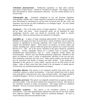**Arthrinium phaeospermum** - Widespread saprophyte on dead plant material, particularly swampy grasses. Should be considered an allergen. This fungus has also been documented in various subcutaneous infections. No toxic related diseases are of record to date.

**Arthrographis spp**. - Extremely widespread in soil and decaying vegetation. Arthrographis cuboidea and A. kalrae should be considered to be allergens. A kalrae has been documented in onychomycosis and has been recovered from the skin, nails, and respiratory sites but has not been established as an etiological agent. No toxic related diseases are of record to date.

**Ascomycete**. - One of the major classes of fungal organisms. This class contains the the"sac fungi" and yeasts. Some ascomycete spores can be identified by spore morphology, however; some care should be excersised with regard to specific identification. Many ascomycete spores are reported to be allergenic.

**Aspergillus sp**. - A genus of fungi containing approximately 150 recognized species. Members of this genus have been recovered from a variety of habitats, but are especially common as saprophytes on decaying vegetation, soils, stored food, feed products in tropical and subtropical regions. Some species are parasitic on insects, plants and animals, including man. Species within this genus have reported Aw's (water activities) between 0.75 - 0.82. All of the species contained in this genus should be considered allergenic. Various Aspergillus species are a common cause of extrinsic asthma (immediate-type hypersensitivity: type I). Acute symptoms include edema and bronchiospasms. Chronic cases may develop pulmonary emphysema. Members of this genus are reported to cause a variety of opportunistic infections of the ears and eyes. Sever pulmonary infections may also occur. Many species produce mycotoxins which may be associated with disease in humans and other animals. Toxin production is dependent on the species or a strain within a species and on the food source for the fungus. Some of these toxins have been found to be carcinogenic in animal species. Several toxins are considered potential human carcinogens.

**Aspergillus alliaceus**- This species is not commonly reported from nature and is not considered common to indoor environments. It has been isolated from soils in desert areas, grassland or cultivated soils, cacti, onion, and garlic bulbs. This fungus should be considered allergenic. No toxic or invasive diseases have been documented to date.

**Aspergillus auricomus**- This species was originally isolated from an aqueous solution of potassium iodidie. It has also been isolated from cottonseed in Arizona. This species is not considered common to indoor environments. This fungus should be considered allergenic. No toxic or invasive diseases have been documented to date.

**Aspergillus caespitosus** - This species is not considered common to indoor environments. It has been predominantly isolated from soils but has also been isolated from sugarcane bagesse. This fungus should be considered allergenic. No toxic or invasive diseases have been documented to date.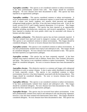**Aspergillus caesiellus** - This species is not considered common to indoor environments. It has been predominantly isolated from soils. This fungus should be considered allergenic. No toxic diseases have been documented to date. This species has been reported as an opportunistic pathogen.

**Aspergillus candidus** - This species considered common to indoor environments. It occurs predominantely in tropical and subtropical regions in stored foods and feedstuffs such as wheat, corn, barely, sorghum, rice, peanuts, dried macaroni and spaghetti, refrigerated dough products, and flour. It has also been isolated from soils. It has an Aw (water activity) of 0.75 and Conidia (spores) dimensions 2.5-4 microns. This fungus should be considered allergenic. This species has been reported as an opportunistic pathogen including onychomycosis, otomycosis, and invasive aspergillosis. It has also been reported to produce the toxin petulin which may be associated with disease in humans and other animals.

**Aspergillus carbonarius** - This distinctive species has not been commonly reported. It has been isolated from mud and wood in mangrove swamps, soil, and polluted water. This species is not considered common to indoor environments. This fungus should be considered allergenic. No toxic or invasive diseases have been documented to date.

**Aspergillus carneus** - This species is not considered common to indoor environments. It has been predominantly isolated from tropical and subtropical soils. This fungus should be considered allergenic. No toxic diseases have been documented to date. This species has been reported as an opportunistic pathogen.

**Aspergillus cervinus** - This species has not been commonly reported. It has been isolated from tropical rainforest soils in Malaya, Puerto Rico, New Zealand, Wisconsin, and India. This species is not considered common to indoor environments. This fungus should be considered allergenic. No toxic or invasive diseases have been documented to date.

**Aspergillus clavatus** - This distinctive species is a common soil fungus with widespread distribution in soils in warmer climates. It also is quite widely distributed in some kinds of foods, especially cereals. This species is not considered common to indoor environments, however; it has been frequently associated with the brewing industry. This fungus should be considered allergenic. No toxic or invasive diseases have been documented to date.

**Aspergillus deflectus -** This species is not considered common to indoor environments. It has been predominantly isolated from tropical and subtropical soils. This fungus should be considered allergenic. No toxic diseases have been documented to date. This species has been reported as an opportunistic pathogen.

**Aspergillus flavipes** - This species may be recovered from indoor environments. It has been predominantly isolated from tropical and subtropical soils and decaying vegetation, however; it has also been isolated from deteriorated cotton fabric. This fungus should be considered allergenic. No toxic diseases have been documented to date. This species has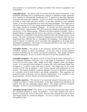been reported as an opportunistic pathogen associated with cutaneous aspergillosis and osteomyelitis.

**Aspergillus flavus** - This species may be recovered from the indoor environment. It has worldwide distribution but is predominantly a tropical to subtropical fungus apparently more common in cultivated than uncultivated soil. It colonizes on decaying vegetation, crop seeds and many other substrates. It grows on moldy corn and peanuts and can also be found in other foods and dairy products. It has been reported in water damaged carpets. It has also been reported as an insect and animal pathogen. This fungus has an Aw (water activity) of 0.78. and conidia (spores) dimensions 3-6 microns or 3-5 microns. This fungus should be considered allergenic. Its presence has been associated with reports of asthma. Approximately 50% of the strains are capable of producing a group of mycotoxins - in the aflatoxin group. Aflatoxins are known animal carcinogen. There is limited evidence to suggest that this toxin is also a human carcinogen. The production of the fungal toxin is dependent on the growth conditions and on the substrate used as a food source. The toxin is poisonous to humans by ingestion and may directly affect the liver. Experiments have indicated that it is teratogenic and mutagenic. This fungus may also result in disease via inhalation and is associated with aspergillosis of the lungs and/or disseminated aspergillosis. This fungus is occasionally identified as the cause of corneal, otomycotic, and nasoorbital infections.

**Aspergillus foetidus** - This species is not commonly reported from nature and is not considered common to indoor environments. It has been used in several industrial processes including koji for shochu and enzyme production. This fungus should be considered allergenic. No toxic or invasive diseases have been documented to date.

**Aspergillus fumigatus** - This species may be recovered from the indoor environment. It has worldwide distribution and grows over a wide range of temperatures. It has been recovered from soils, plants, seeds, sludge, wood chips, compost, cotton, and penguin excreta. It is commonly found outdoors in compost piles with temperatures higher than 40 degrees C, in mild to warm soils and on cereals. This fungus has an Aw (water activity) of 0.82 with an optimum  $> 0.97$ . Conidia (spores) have dimensions of 2-3.5 microns. This fungus should be considered allergenic, however; it should be considered as a principle cause for both invasive and allergic aspergillosis. This organisms will particularly affect individuals who are immune compromised. It is considered a true human pathogen. No toxic diseases have been documented to date.

**Aspergillus japonicus** - This species is not commonly reported from nature and is not considered common to indoor environments. It has been isolated from subtropical and tropical soils and also submerged organic debris. This fungus should be considered allergenic. No toxic or invasive diseases have been documented to date.

**Aspergillus kanagawaensis** - This species is not commonly reported from nature and is not considered common to indoor environments. It has been isolated from soils in hemlock and jack pine forest in Wisconsin. Has also been isolated from soils in Japan. This fungus should be considered allergenic. No toxic or invasive diseases have been documented to date.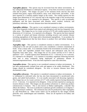**Aspergillus glaucus** - This species may be recovered from the indoor environment. It has widespread distribution in subtropical regions. It has been recovered in nature from soils and on plants. This fungus can grow at low moisture levels and has also been isolated from grains, sugary food products, meat, wool, dried foods, and leather. It has been reported as a common outdoor fungus in the winter. The conidia (spores) for this fungus have dimensions of 5-6.5 microns and is the imperfect stage of the ascomycetous fungus Eurotium sp. It is reported to be allergenic. This species is only occasionally pathogenic and has been associated with sinusitis, otitis, cerebral, orofacial, and pulmonary infections. No toxic diseases have been documented to date.

**Aspergillus nidulans** - This species is not considered common to indoor environments. It has been frequently isolated from tropical and subtropical soils but less frequently from other areas. This fungus has an Aw (water activity) of 0.78 with conidia (spores) having dimensions of 2-4 microns. It is reported to be allergenic. This species has been reported in a variety of animal and human infections including invasive and systemic disease including aspergillosis of the lungs and/or disseminated aspergillosis. It can produce the mycotoxin sterigmatocysti that has been shown to produce liver and kidney damage in lab animals.

**Aspergillus niger** - This species is considered common to indoor environments. It is widespread in the soil and on plants and is also considered a common contaminant of foods. It has a musty odor. It is commonly found in the environment on textiles, in soils, grains, fruits and vegetables isolated from tropical and subtropical soils but less frequently from other areas. This fungus has an Aw (water activity) of 0.77 with an optimum  $> 0.97$ . Conidia (spores) have dimensions of 3.5 - 5 microns or 4 to 5 microns. It is reported to be allergenic. It is common in secondary organisms following bacterial otitis and is more commonly being implicated in pulmonary disease in immunocompromised hosts. It has also been reported to cause skin infections.

**Aspergillus niveus** - This species is not considered common to indoor environments. It has been predominantly isolated from soils and appears to be widely distributed. This fungus should be considered allergenic. No toxic or invasive diseases have been documented to date.

**Aspergillus ochraceus** - This species is considered common to indoor environments. It is widespread in cultivated soils, but has also been documented in uncultivated soils, grains, and salted food products. It is not usually associated with decaying vegetation. This fungus has an Aw (water activity) of 0.77 with conidia (spores) having dimensions of 2.5 - 3 microns. It is reported to be allergenic. It has not been reported as causing any invasive disease to date. This fungus can also produce ochratoxin A, which may produce ochratoxicosis in humans. This is also known as Balkan nephropathy, a disorder that affects the kidneys. The toxin is produced at optimum growth conditions at 25 degrees C and high moisture conditions. The ochratoxin may also be produced by other Aspergillus sp. and Penicillium sp. Other toxins which can be produced by this fungus include penicillic acid, xanthomegnin and viomellein. These are all reported to be kidney and liver toxins.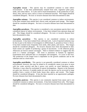**Aspergillus oryzae** - This species may be considered common to some indoor environments. It has been predominantly isolated from soils, vegetative plant parts, seeds, and cotton fabrics. It is also used in food fermentations, in the production of saki, shoyu, miso, and soy sauce, and as a source of industrial enzymes. This fungus should be considered allergenic. No toxic or invasive diseases have been documented to date.

**Aspergillus ostianus** - This species is not considered common to indoor environments. It has been isolated from animal feed, chicory seed, and gram seed storage. This fungus should be considered allergenic. No toxic or invasive diseases have been documented to date.

**Aspergillus paradoxus** - This species is considered a very uncommon species that is not considered typical of indoor environments. It has been isolated from opossum dung and soil. This fungus should be considered allergenic. No toxic or invasive diseases have been documented to date.

**Aspergillus parasiticus** - This species is not considered common to indoor environments. It has been isolated from cultivated soils. Lack of reported isolations may be due in part to the failure of investigators to differentiate A. parasiticus from A. flavus. It has been isolated more frequently from seeds, other plants, and insects. This fungus should be considered allergenic. No invasive diseases have been documented to date. Some strains are capable of producing a group of mycotoxins - in the aflatoxin group. Aflatoxins are known animal carcinogen. There is limited evidence to suggest that this toxin is a human carcinogen. The toxin is poisonous to humans by ingestion. Experiments have indicated that it is teratogenic and mutagenic. It is toxic to the liver. The production of the fungal toxin is dependent on the growth conditions and on the substrate used as a food source.

**Aspergillus penicilloides** - This species is not generally considered common to indoor environments, however; this may be related to its xerophyilic nature (can grow in areas with low water activity) and that it grows very poorly on usual laboratory media. Therefore, it may often be overlooked in typical investigations. Reports in the literature are quite rare, however, if suitable media are used, the species can be recovered in large numbers from a variety of dried foods, house dust, spices, and cereals. This fungus should be considered allergenic. It has also been reported as an opportunistic pathogen. No toxic diseases have been documented to date.

**Aspergillus puniceus** - This species is not commonly reported from nature and is not considered common to indoor environments. It has been isolated from soils. This fungus should be considered allergenic. No toxic or invasive diseases have been documented to date.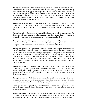**Aspergillus restrictus** - This species is not generally considered common to indoor environments, however; this may be related to its slow growing nature. Therefore, it may often be overlooked in typical investigations. It has been isolated from a variety of subtrates including soil, cotton goods and fruit juices, and from air. This fungus should be considered allergenic. It has also been reported as an opportunistic pathogen and associated with endocarditis, onychomycosis, and pulmonary aspergillosis. No toxic diseases have been documented to date.

**Aspergillus sclerotiorum** - This species is not considered common to indoor environments. It has been isolated from tropical and subtropical soils. This fungus should be considered allergenic. No toxic or invasive diseases have been documented to date.

**Aspergillus sojae** - This species is not considered common to indoor environments. To date, it has only been isolated from koji fermentations. This fungus should be considered allergenic. No toxic or invasive diseases have been documented to date.

**Aspergillus sparsis** - This species is not considered common to either outdoor or indoor environments. It has been isolated from soil. This fungus should be considered allergenic. No toxic or invasive diseases have been documented to date.

**Aspergillus sydowi** - This species has worldwide distribution. Its primary habitat is the soil, but it has been reecovered from a variety of other substrates. Found in warmer soil and in grains, straw, cotton, and decomposing vegetation. It appears to be less common in foods than A. versicolor. This fungus should be considered allergenic. This fungus is associated with aspergillosis of the lungs and/or disseminated aspergillosis otomycosis (ear infection) and onychomycosis (infection of finger or toe nails). This fungus can produce the toxins patulin and citrinin which may be associated with disease in humans and other animals.

**Aspergillus tamarii** - This species is not considered common to both outdoor or indoor environments. It was originally isolated from tamari sauce. It is fairly common soil fungus and has been isolated from seeds of various crops and other substrates. This fungus should be considered allergenic. No toxic or invasive diseases have been documented to date.

**Aspergillus terreus** - This fungus has worldwide distribution in soils, but is more abundant in tropical and subtropical regions rather than temperate regions. It is also common in cultivated soils and forests than grasslands. It is common in stored crops and has been isolated from other foodstuffs. It should be considered allergenic. Invasive bronchopulmonary aspergillosis, onychomycosis, cutaneous, ophthalmic, and disseminated mycosis have been documented. No toxic or invasive diseases have been documented to date.

**Aspergillus unguis** - This species is not considered common but have been isolated from a variety of substrates including man, shoe leather, and sesame seeds. This fungus should be considered allergenic. No toxic or invasive diseases have been documented to date.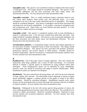**Aspergillus ustus** - This species is not considered common in habitats other than tropical or subtropical soils. This fungus should be considered allergenic. This species is only occasionally pathogenic and has been associated with otitis media, burns, and disseminated infections. No toxic diseases have been documented to date.

**Aspergillus versicolor** - This is a widely distributed fungus commonly found in soil, hay, cotton, dairy products, dried cereals, nuts, and especially spices. It is often considered to be one of the most widely distributed species of Aspergillus. This fungus should be considered allergenic. This species is pathogenic and has been associated with onychomycosis and invasive aspergillosis. It can produce a mycotoxin sterigmatocystin and cyclopiaxonic acid. These toxins can cause diarrhea and upset stomach. It is also reported to be a kidney and liver carcinogen.

**Aspergillus wentii** - This species is considered common with its main distribution in tropical or subtropical soils. It has also been isolated from plant litter and seeds. This fungus should be considered allergenic. This species is only occasionally pathogenic and has been associated with otitis media, burns, and disseminated infections. No toxic diseases have been documented to date.

**Aureobasidium pullulans**- A cosmopolitan fungus with the main habitat apparently on the aerial parts of plants. Frequently found in moist environments. This fungus should be considered allergenic. This species has been associated with deratitis, peritonitis, pulmaonary infection, and invasive disease in AIDS patients. Probably aquired by traumatic implantation. May be recovered as a contaminant from human cutaneous sites. No toxic diseases have been documented to date.

#### *B*

**Basidiomycetes** - One of the major classes of fungal organisms. This class contains the mushrooms, shelf fungi, puffballs, and a variety of other macrofungi. It is extremely difficult to identify a specific genera of mushrooms by using standard culture plate techniques. Some basidiomycete spores can be identified by spore morphology, however; some care should be exercised with regard to specific identification. Many basidiomycete spores are reported to be allergenic.

**Basidiobolus** - Has been isolated from decaying plants, soil, and from the fecal materials of frogs, reptiles, fish, and bats. The relationship of these organisms to human occupied spaces potentiallly suggests a common present of this genera of fungi in the indoor environments. Should be considered allergenic. Basidiobolus ranarum rarely causes disease, but has prinicipally been involved with trunk and extremity infection of children in tropical countries. No toxic diseases have been documented to date.

**Beauveria** - Widespread in the soil with various species being parasites of insects, the most notable geing Beauveria bassiana which affects the silkworm. Not considered to be common to indoor environments. Should be considered allergenic. Reported to cause mycotic keratitis and occasional pulmonary infections. No toxic diseases have been documented to date.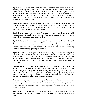**Bipolaris sp.** - A widespread fungus that is most frequently associated with grasses, plant material, decaying food, and soil. It is common to both indoor and outdoor environments. Older obsolete names include Drechslera and Helminthosporium. This fungus produces large spores which would be expected to be deposited in the upper respiratory tract. Various species of this fungus can produce the mycotoxin sterigmatocystin which has been shown to produce liver and kidney damage when ingested by laboratory animals.

**Bipolaris australiensis** - A widespread fungus that is most frequently associated with grasses, plant material, and soil. Should be considered allergenic. Has also been reported as an infrequent agent of phaeohyphomycosis, particularly fungal sinusitis. It can occasionally cause a corneal infection of the eye.

**Bipolaris cynodontis.** - A widespread fungus that is most frequently associated with bermuda grass. Recoveries have been made from human sinus and eyes, however; its exact role as a etiological agent remain unclear.

**Bipolaris hawaiiensis** - A widespread fungus that is most frequently associated with grasses, plant material, and soil. Should be considered allergenic. Common etiologic agent in fungal sinusitis. Also reported cases of pulmonary and cerebral disease, menigoencephalitis, and endophthalmitis. This organisms appears to be extremely agressive in some settings, possibly neutrotropic.

**Bipolaris spicifera** - A widespread fungus that is most frequently associated with grasses and plant material, and soil. Should be considered allergenic. Common etiologic agent in fungal sinusitis. Also been reported as an agent of phaeohyphomycosis, particularly fungal sinusitis. Disease also includes endocarditis, keratitis, osteomyelitis, peritonitis, and meningoencephalitis. This is the most common Bipolaris species implicated in human disease.

**Blastomyces sp**. - Blastomyces dermatitidis- Rare environmental isolates have been found in moist soil with high organic content. Important human pathogen. It is a thermally dimorphic fungus which has filamentous fungus when grown at 25 degrees C and a yeast form at 37 degrees C. Causes Blastomycosis in humans and animals involving pulmonary invasion, followed by cutaneous, osteoarticular and genitourinary disease. No toxic diseases have been documented to date.

**Blastoschizomyces sp.** - Blastoschizomyces capitatus found in the soil, beach sand, as a normal flora of the skin, respiratory and digestive tracts of humans. Invasive and disseminated infections have been reported in immunocompromised patients. Cases of encephalitis and osteomyelitis have also been reported. No toxic diseases have been documented to date.

**Botrytis sp.** - It is parasitic on plants, vegetables, and soft fruits but may also be found in soil. Reported to be allergenic. No toxic or invasive diseases have been documented to date.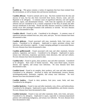#### $\overline{C}$

**Candida sp.** - This genus contains a variety of organisms that have been isolated from the environment, as well as human skin and mucous membranes.

**Candida albicans** - Found in animals and in man. Has been isolated from the skin and mucosa of man, but has also been recovered from leaves, flowers, water, and soil. Reported to be allergenic. A common cause of superficial infection, oral and vaginal infection, sepsis, and disseminated disease. Cells from the organism are usually not airborne and are considered to be a normal component of the flora of mouth and other mucous membranes in the body. Thrush and other diseases caused by Candida albicans usually occur after prolonged treatment with antibiotics or steroids. No toxic diseases have been documented to date.

**Candida ciferrii** - Found in soils. Considered to be allergenic. A common cause of superficial infection isolated from ears, skin, nails, and eyes. No toxic diseases have been documented to date.

**Candida glabrata** - Found associated with man, mammals, birds, fruit juices, and insects. Considered to be allergenic. Implicated in sepsis, persistent urinary tract infections, and refracatory vaginitis. A major emerging pathogen in nosocomial disease. No toxic diseases have been documented to date.

**Candida guilliermondii** - Found associated with man and other mammals, brewery products, vegetation, and insects. Considered to be allergenic. Implicated in sepsis, urinary tract infections, respiratory speciments, brain abscesses, skin and nail cultures. No toxic diseases have been documented to date.

**Candida kefyr** - Found in grains, dairy products, man and other mammals. Considered to be allergenic. Rare cause of human mycoses. May cause blood sepsis, invasive disease, and vaginitis, and urinary tract infections. No toxic diseases have been documented to date.

**Candida krusei** - Found in air samples, dairy products, soil, man and other mammals. Considered to be allergenic. Involved in sepsis and disseminated, invasive disease, includingendocarditis, peritonitis, vaginitis, and urinary tract infections. No toxic diseases have been documented to date.

**Candida lambica** - Found in dairy products, fruit juice, water, birds, and man. Considered to be allergenic.

**Candida lipolytica** - Found in man and other mammals, corn, olives, and hydrocarbons. Considered to be allergenic. Implicated in sepsis, thrombophlebitis, and chronic sinusitis. No toxic diseases have been documented to date.

**Candida lusitaniae** - Found in man and other mammals, birds, citris fruits, and pears. Considered to be allergenic. Implicated in sepsis, especially in immunocompromised patients with underlying malignancy, and urinary tract infection. No toxic diseases have been documented to date.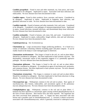**Candida parapsilosis** - Found in man and other mammals, tea, fruit juices, and water. Considered to be allergenic. Implicated in sepsis. Associated with burn infections and endocarditis. No toxic diseases have been documented to date.

**Candida rugosa** - Found in dairy products, feces, seawater, and insects. Considered to be allergenic. Implicated in sepsis. Implicated in fungemia, burn infection, and glandular infections in cattle. No toxic diseases have been documented to date.

**Candida tropicalis** - Found in humans and other mammals, fruit, and water. Considered to be allergenic. Considered a true pathogen of immunocompromised hosts. Implicated in sepsis, wound infections, neonatal infections, and disseminated deep tissue infections. No toxic diseases have been documented to date.

**Candida zeylanoides** - Found in humans, soil, meat, fish, and water. Considered to be allergenic. Implicated in sepsis, endocarditis, fungal arthritis, skin and nail infections. No toxic diseases have been documented to date.

**Cephalosporium sp.** - See Acremonium sp.

**Chaetomium sp**. - Large ascomycetous fungus producing perithecia. It is found on a variety of substrates containing cellulose including paper and plant compost. It can be readily found on the damp or water damaged paper in sheetrock.

**Chaetomium atrobrunneum** - This fungus is found in the soil, air, and on plant debris. Should be considered as allergenic. Has been implicated in fatal systemic mycoses. The thermophilic, neurotropic nature of this organisms suggests it is a potentially agressive pathogen. No toxic diseases have been documented to date.

**Chaetomium globosum** - This fungus is found in the soil, air and on plant debris. Should be considered as allergenic. Is considered an agent of onychomycosis, peritonitis, and cutaneous lesions. Has been implicated in fatal systemic mycoses. No toxic diseases have been documented to date.

**Chaetomium strumarium** - This fungus is common in warm soil and on plant debris. Should be considered as allergenic. Has been implicated in fatal brain abscesses in drug abusers. No toxic diseases have been documented to date.

**Chrysosporium spp**. - Widespread, common in the soil and on plants. Rare agents of onychomycosis, skin lesions, endocarditis, and uncommon agents of the pulmonary mycosis adiaspiromycosis. No toxic diseases have been documented to date.

**Cladophialophora spp.** - Widespread, common in the soil and on plant debris. C. bantiana has been reported as a neurotropic agent causing cerebral phaeohyphomycosis in the form of brain abscesses. Skin lesions have also been reported. The organisms has also been recovered from pulmonary sites. C. boppii has been associated with skin lesions and a possible cause of chromoblastomycosis. C. carrionii is almost exclusively associated with chromoblastomycosis, which is generally restricted to subtropical areas.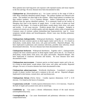Most patients have had long-term soil exposure with repeated trauma and tissue injuries to the feet and legs. No toxic diseases have been documented to date.

**Cladosporium sp**. (Hormodendrum sp.) - Aw (water activity) in the range of 0.84 to 0.88. Most commonly identified outdoor fungus. The outdoor numbers are reduced in the winter. The numbers are often high in the summer. Often found indoors in numbers less than outdoor numbers. It is a common allergen. Indoor Cladosporium sp. may be different than the species identified outdoors. It is commonly found on the surface of fiberglass duct liner in the interior of supply ducts. A wide variety of plants are food sources for this fungus. It is found on dead plants, woody plants, food, straw, soil, paint and textiles. It can cause mycosis. Produces greater than 10 antigens. Antigens in commercial extracts are of variable quality and may degrade within weeks of preparation. Common cause of extrinsic asthma (immediate-type hypersensitivity: type I). Acute symptoms include edema and bronchiospasms, chronic cases may develop pulmonary emphysema.

**Cladosporium cladosporioides** - Widespread distribution. Together with C. herbarum compose the most common species on dead organic matter and in the air. It is found on dead plants, woody plants, food, straw, soil, paint and textiles. Reported allergen. Has been implicated in pulmonary and cutaneous infections, possible sinus infection, mixed disseminated infections. No toxic diseases have been documented to date.

**Cladosporium herbarum** - Widespread distribution. Together with C. cladosporioides compose the most common species on dead organic matter and in the air. It is found on dead plants, woody plants, food, straw, soil, paint, and textiles. Reported allergen. Has been implicated in cutaneous infections and keatitis. No toxic diseases have been documented to date.

**Cladosporium macrocarpum** - Common species on dead organic matter and in the air. It is found on dead plants, woody plants, food, straw, soil, paint, and textiles. Reported allergen. No toxic or invasive diseases have been documented to date.

**Cladosporium sphaerospermum** - Worldwide distribution. Considered a secondary invader of plants, textiles, food and is common to the soil, and air. Reported allergen. Implicated in skin lesions, corneal ulcer, and onychomycosis.

**Cladosporium fulvum** (Fulvia fulva) - Conidia (spores) dimensions 12-47 x 4-10 microns. It is found on the leaves of tomatoes.

**Cryptostroma corticale** - Conidia (spores) dimensions 4-6.5 x 3.5-4 microns. Found on the bark of maple and sycamore trees and on stored logs.

**Conidobolus sp**. - Can cause a chronic inflammatory disease of the nasal mucosa (entomophthoromycosis).

**Cunninghamella sp**. - Can cause disseminated and pulmonary infections in immune compromised hosts.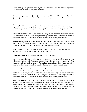**Curvularia sp**. - Reported to be allergenic. It may cause corneal infections, mycetoma and infections in immune compromised hosts.

# *D*

**Dreschlera sp.** - Conidia (spores) dimensions 40-120 x 17-28 microns. Found on grasses, grains and decaying food. It can occasionally cause a corneal infection of the eye.

### *E*

**Emericella nidulans** - A ubiquitous soil fungus. Most often isolated from tropical and subtropical climates. Perfect stage of Aspergillus nidulans. This fungus should be considered allergenic. No toxic or invasive diseases have been reported to date.

**Emericella quadrillineata**- A ubiquitous soil fungus. Most often isolated from tropical and subtropical climates. Perfect stage of Aspergillus tetrazonus. This fungus should be considered allergenic. No toxic or invasive diseases have been reported to date.

**Emericella rugulosa-** A relatively uncommon species most commonly isolated from soil. Perfect stage of Aspergillus rugulovalvus. This fungus should be considered allergenic. No toxic or invasive diseases have been reported to date.

**Epicoccum sp.** - Conidia (spores) dimensions 15-25 microns. A common allergen. It is found in plants, soil, grains, textiles, and paper products.

**Epidermophyton sp**. - Can cause infections of skin and nails.

**Eurotium amstelodami** - This fungus is frequently encountered in tropical and subtropical regions. It is frequently reported from soils and dried or concentrated food products. It is the perfect stage of Aspergillus amstelodami. This fungus should be considered allergenic. No toxic or invasive diseases have been reported to date.

**Eurotium chevalieri** - This fungus is frequently encountered in tropical and subtropical regions. It is frequently reported from soils and dried or concentrated food products, leather goods, cotton, seeds, and other dried products. The fungus is considered to be a xerophile. It is the perfect stage of Aspergillus chevalieri. This fungus should be considered allergenic. No toxic or invasive diseases have been reported to date.

**Eurotium rubrum** - This fungus is frequently encountered in tropical and subtropical regions. It is frequently reported from soils and dried or concentrated food products, leather goods, cotton, seeds, and other dried products. The fungus is considered to be a xerophile. It is the perfect stage of Aspergillus rubrobrunneus. This fungus should be considered allergenic. No toxic or invasive diseases have been reported to date.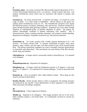#### *F*

**Fusarium solani** - Aw (water activity) 0.90. Macroconidia (spores) dimensions 27-52 x 4.4-6.8; Microconidia dimensions 8-16 x 2-4 microns. Found in plants and soils. Can produce trichothecene toxins which may be associated with disease in humans and animals.

**Fusarium sp.** - Aw (water activity) 0.90. A common soil fungus. It is found on a wide range of plants. It is often found in humidifiers. Several species in this genus can produce potent trichothecene toxins (5, 27). The trichothecene (scirpene) toxin targets the following systems: circulatory, alimentary, skin, and nervous. Produces vomitoxin on grains during unusually damp growing conditions. Symptoms may occur either through ingestion of contaminated grains or possibly inhalation of spores. The genera can produce hemorrhagic syndrome in humans (alimentary toxic aleukia). This is characterized by nausea, vomiting, diarrhea, dermatitis, and extensive internal bleeding. Reported to be allergenic. Frequently involved in eye, skin and nail infections.

# *G*

**Geotrichum sp**. - Aw (water activity) 0.90. Conidia (spores) dimensions 6-12 x 3-6 microns. Aw (water activity) 0.90. A common contaminant of grains, fruits, dairy products, paper, textiles, soil and water, and often present as part of the normal human flora. The species Geotrichum candidum can cause a secondary infection (geotrichosis) in association with tuberculosis. This rare disease can cause lesions of the skin, bronchi, mouth, lung, and intestine.

**Gliocladium sp**. - A fungus which is structurally similar to Penicillium sp. It is reported to be allergenic.

## *H*

**Helminthosporium sp.** - Reported to be allergenic.

**Histoplasma sp.** - A fungus which has filamentous growth at 25 degrees C and yeast growth at 37 degrees C. It is reported to be a human pathogen. It may be associated with birds.

**Humicula sp**. - Grow on products with a high cellulose content. These fungi are also found in soil and on plant debris.

**Hyaline Mycelia** - Sterile mycelia which is white or transparent. No fruiting structures are produced by the mycelia. Visual identification of these organisms is not possible. Often associated with allergic symptoms.

## *M*

**Microsporum sp**. - Causes ringworm in humans.

**Monilia sp**. - Reported to be allergenic. This fungus produces soft rot of tree fruits. Other members produce a red bread mold. It is infrequently involved in corneal eye infections.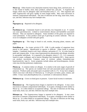**Mucor sp**. - Often found in soil, dead plant material, horse dung, fruits, and fruit juice. It is also found in leather, meat, dairy products, animal hair, and jute. A Zygomycetes fungus which may be allergenic (skin and bronchial tests) (7, 17). This organism and other Zygomycetes will grow rapidly on most fungal media. May cause mucorosis in immune compromised individuals. The sites of infection are the lung, nasal sinus, brain, eye, and skin. Infection may have multiple sites.

### *N*

**Nigrospora sp**. - Reported to be allergenic.

## *P*

**Paecilomyces sp.** - Commonly found in soil and dust, less frequently in air. P. variotii can cause paecilomycosis. Linked to wood-trimmers disease and humidifier associated illnesses. They are reported to allergenic. Some members of this genus are reported to cause pneumonia. It may produce arsine gas if growing on arsenic substrate. This can occur on wallpapers covered with paris green.

**Papulospora sp.** - This fungi is found in soil, textiles, decaying plants, manure, and paper.

**Penicillium sp.** - Aw (water activity) 0.78 - 0.88. A wide number of organisms have placed in this genera. Identification to species is difficult. Often found in aerosol samples. Commonly found in soil, food, cellulose, and grains (17, 5). It is also found in paint and compost piles. It may cause hypersensitivity pneumonitis and allergic alveolitis in susceptible individuals. It is reported to be allergenic (skin) (7, 17). It is commonly found in carpet, wallpaper, and in interior fiberglass duct insulation (NC). Some species can produce mycotoxins. Common cause of extrinsic asthma (immediate-type hypersensitivity: type I). Acute symptoms include edema and bronchiospasms, chronic cases may develop pulmonary emphysema.

**Phoma sp.** - A common indoor air allergen. It is similar to the early stages of growth of Chaetomium sp. The species are isolated from soil and associated plants (particularly potatoes). Produces pink and purple spots on painted walls (3, 17). It may have antigens which cross-react with those of Alternaria sp. It will grow on butter, paint, cement, and rubber. It may cause phaeohyphomycosis, a systematic or subcutaneous disease.

**Pithomyces sp.** - Grows on dead grass in pastures. Causes facial eczema in ruminants.

## *R*

**Rhizomucor sp**. - The Zygomycetous fungus is reported to be allergenic. It may cause mucorosis in immune compromised individuals. It occupies a biological niche similar to Mucor sp. It is often linked to occupational allergy. The sites of infection are the lung, nasal sinus, brain, eye, and skin. Infection may have multiple sites.

**Rhizopus sp.** - The Zygomycetous fungus is reported to be allergenic. It may cause mucorosis in immune compromised individuals. It occupies a biological niche similar to Mucor sp. It is often linked to occupational allergy. The sites of infection are the lung, nasal sinus, brain, eye, and skin. Infection may have multiple sites.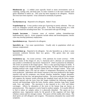**Rhodotorula sp**. - A reddish yeast typically found in moist environments such as carpeting, cooling coils, and drain pans. In some countries it is the most common yeast genus identified in indoor air. This yeast has been reported to be allergenic. Positive skin tests have been reported. It has colonized in terminally ill patients.

#### *S*

**Saccharomyces sp**. - Reported to be allergenic. Baker's Yeast.

**Scopulariopsis sp**. - It may produce arsine gas if growing on arsenic substrate. This can occur on wallpapers covered with paris green. It has been found growing on a wide variety of materials including house dust. It is associated with type III allergy.

**Serpula lacrymans** - Common cause of extrinsic asthma (immediate-type hypersensitivity: type I). Acute symptoms include edema and bronchiospasms; chronic cases may develop pulmonary emphysema.

**Sporobolomyces sp**. - Reported to be allergenic.

**Sporothrix sp.** - Can cause sporotrichosis. Usually only in populations which are immune compromised.

**Sporotrichum sp.** - Reported to be allergenic. See also Sporothrix sp. as there is some taxonomic confusion between these two genera. This genera does not cause sporotrichosis.

**Stachybotrys sp.** - Aw (water activity) - 0.94, optimum Aw (water activity) -  $>0.98$ . Several strains of this fungus (S. atra, S. chartarum and S. alternans are synonymous) may produce a trichothecene mycotoxin- Satratoxin H - which is poisonous by inhalation. The toxins are present on the fungal spores. This is a slow growing fungus on media. It does not compete well with other rapidly growing fungi. The dark colored fungi grows on building material with a high cellulose content and a low nitrogen content. Areas with relative humidity above 55% and are subject to temperature fluctuations are ideal for toxin production. Individuals with chronic exposure to the toxin produced by this fungus reported cold and flu symptoms, sore throats, diarrhea, headaches, fatigue, dermatitis, intermittent local hair loss, and generalized malaise. The toxins produced by this fungus will suppress the immune system affecting the lymphoid tissue and the bone marrow. Animals injected with the toxin from this fungus exhibited the following symptoms: necrosis and hemorrhage within the brain, thymus, spleen, intestine, lung, heart, lymph node, liver, and kidney. The mycotoxin is also reported to be a liver and kidney carcinogen. Affects by absorption of the toxin in the human lung are known as pneumomycosis. This organism is rarely found in outdoor samples. It is usually difficult to find in indoor air samples unless it is physically disturbed. The spores are in a gelatinous mass. Appropriate media for the growth of this organism will have high cellulose content and low nitrogen content. The spores will die readily after release. The dead spores are still allergenic and toxigenic. Percutaneous absorption has caused mild symptoms.